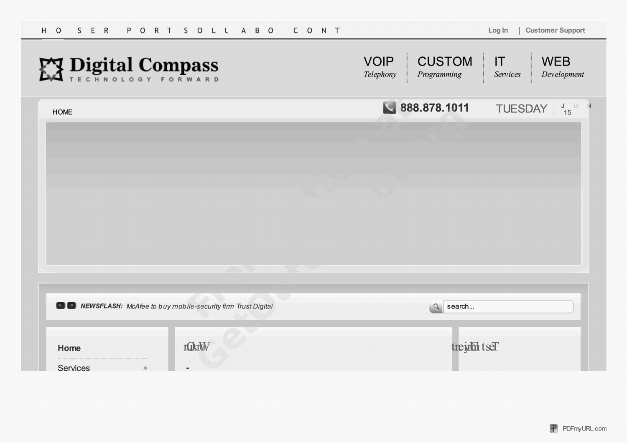| $H$ O<br>S E R<br>PORT SOLL ABO                              | CONT |                                                          | Customer Support<br>Log In                  |
|--------------------------------------------------------------|------|----------------------------------------------------------|---------------------------------------------|
| EX Digital Compass                                           |      | <b>CUSTOM</b><br><b>VOIP</b><br>Telephony<br>Programming | IT<br><b>WEB</b><br>Development<br>Services |
| <b>HOME</b>                                                  |      | 888.878.1011                                             | TUESDAY $\frac{1}{15}$ U N                  |
|                                                              |      |                                                          |                                             |
|                                                              |      |                                                          |                                             |
|                                                              |      |                                                          |                                             |
|                                                              |      |                                                          |                                             |
|                                                              |      |                                                          |                                             |
|                                                              |      |                                                          |                                             |
|                                                              |      |                                                          |                                             |
|                                                              |      |                                                          |                                             |
| NEWSFLASH: McAfee to buy mobile-security firm Trust Digital  |      | search<br>$\Omega$                                       |                                             |
| rakity<br>Home<br><b>Services</b><br>$\gg$<br>$\blacksquare$ |      | treight tsel                                             |                                             |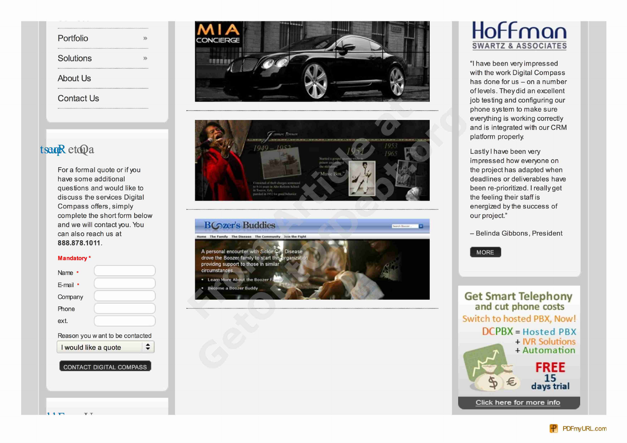| Portfolio         |  |
|-------------------|--|
|                   |  |
| Solutions         |  |
|                   |  |
| <b>About Us</b>   |  |
|                   |  |
| <b>Contact Us</b> |  |
|                   |  |

and we will contact you. You **rate in the BC zer's Buddies**<br>can also reach us at **888.878.1 011.**









# **SWARTZ & ASSOCIATES**

with the work Digital Compass has done for us  $-$  on a number of levels. They did an excellent job testing and configuring our phone system to make sure everything is working correctly and is integrated with our CRM plafform properly.

impressed how everyone on

 $-$  Belinda Gibbons, President



ext. Switch to hosted PBX, Now! Reason you want to be contacted  $DCPBX = Hosted PBX$ + IVR Solutions I would like a quote  $\Box$ **• ' • FREE 15 days trial** Click here for more info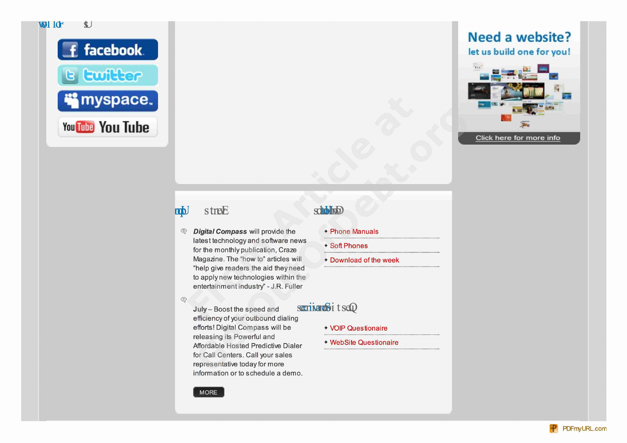

## Need a website? let us build one for you!



### mb streE

**E** Digital Compass will provide the  $+$  Phone Manuals latest technology and software news the monthly publication, Craze the monthly publication of the monthly publication of the monthly publication of the monthly publication of the monthly publication. Craze Magazine. The "how to" articles will + Download of the week "help give readers the aid they need to apply new technologies within the entertainment industry" - J.R. Fuller

## **scholing**

- 
- 
- 

 $\oplus$ 

July - Boost the speed and efficiency of your outbound dialing efforts! Digital Compass will be + VOIP Questionaire releasing its Powerful and Affordable Hosted Predictive Dialer + WebSite Questionaire for Call Centers. Call your sales representative today for more information or to schedule a demo.

### scritarchit seQ

**MORE**